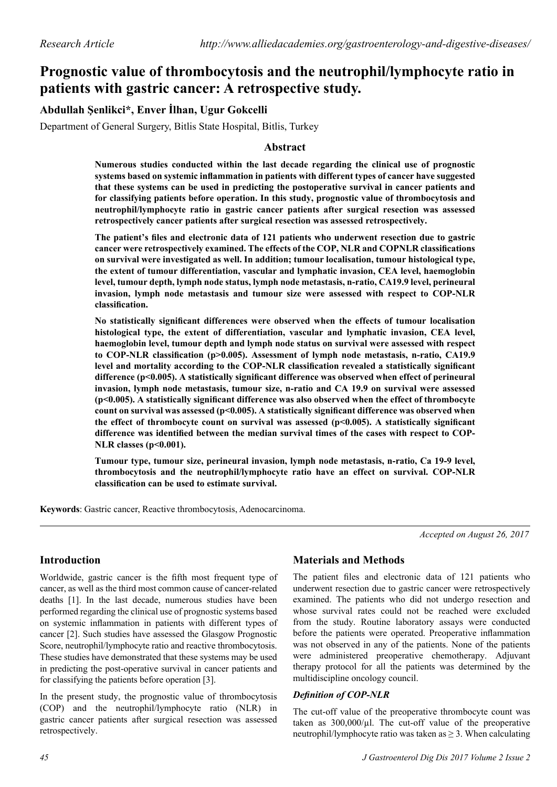# **Prognostic value of thrombocytosis and the neutrophil/lymphocyte ratio in patients with gastric cancer: A retrospective study.**

# **Abdullah Şenlikci\*, Enver İlhan, Ugur Gokcelli**

Department of General Surgery, Bitlis State Hospital, Bitlis, Turkey

### **Abstract**

**Numerous studies conducted within the last decade regarding the clinical use of prognostic systems based on systemic inflammation in patients with different types of cancer have suggested that these systems can be used in predicting the postoperative survival in cancer patients and for classifying patients before operation. In this study, prognostic value of thrombocytosis and neutrophil/lymphocyte ratio in gastric cancer patients after surgical resection was assessed retrospectively cancer patients after surgical resection was assessed retrospectively.**

**The patient's files and electronic data of 121 patients who underwent resection due to gastric cancer were retrospectively examined. The effects of the COP, NLR and COPNLR classifications on survival were investigated as well. In addition; tumour localisation, tumour histological type, the extent of tumour differentiation, vascular and lymphatic invasion, CEA level, haemoglobin level, tumour depth, lymph node status, lymph node metastasis, n-ratio, CA19.9 level, perineural invasion, lymph node metastasis and tumour size were assessed with respect to COP-NLR classification.** 

**No statistically significant differences were observed when the effects of tumour localisation histological type, the extent of differentiation, vascular and lymphatic invasion, CEA level, haemoglobin level, tumour depth and lymph node status on survival were assessed with respect to COP-NLR classification (p>0.005). Assessment of lymph node metastasis, n-ratio, CA19.9 level and mortality according to the COP-NLR classification revealed a statistically significant difference (p<0.005). A statistically significant difference was observed when effect of perineural invasion, lymph node metastasis, tumour size, n-ratio and CA 19.9 on survival were assessed (p<0.005). A statistically significant difference was also observed when the effect of thrombocyte**  count on survival was assessed (p<0.005). A statistically significant difference was observed when the effect of thrombocyte count on survival was assessed (p<0.005). A statistically significant **difference was identified between the median survival times of the cases with respect to COP-NLR classes (p<0.001).**

**Tumour type, tumour size, perineural invasion, lymph node metastasis, n-ratio, Ca 19-9 level, thrombocytosis and the neutrophil/lymphocyte ratio have an effect on survival. COP-NLR classification can be used to estimate survival.**

**Keywords**: Gastric cancer, Reactive thrombocytosis, Adenocarcinoma.

*Accepted on August 26, 2017*

# **Introduction**

Worldwide, gastric cancer is the fifth most frequent type of cancer, as well as the third most common cause of cancer-related deaths [1]. In the last decade, numerous studies have been performed regarding the clinical use of prognostic systems based on systemic inflammation in patients with different types of cancer [2]. Such studies have assessed the Glasgow Prognostic Score, neutrophil/lymphocyte ratio and reactive thrombocytosis. These studies have demonstrated that these systems may be used in predicting the post-operative survival in cancer patients and for classifying the patients before operation [3].

In the present study, the prognostic value of thrombocytosis (COP) and the neutrophil/lymphocyte ratio (NLR) in gastric cancer patients after surgical resection was assessed retrospectively.

# **Materials and Methods**

The patient files and electronic data of 121 patients who underwent resection due to gastric cancer were retrospectively examined. The patients who did not undergo resection and whose survival rates could not be reached were excluded from the study. Routine laboratory assays were conducted before the patients were operated. Preoperative inflammation was not observed in any of the patients. None of the patients were administered preoperative chemotherapy. Adjuvant therapy protocol for all the patients was determined by the multidiscipline oncology council.

#### *Definition of COP-NLR*

The cut-off value of the preoperative thrombocyte count was taken as  $300,000/\mu$ . The cut-off value of the preoperative neutrophil/lymphocyte ratio was taken as  $\geq$  3. When calculating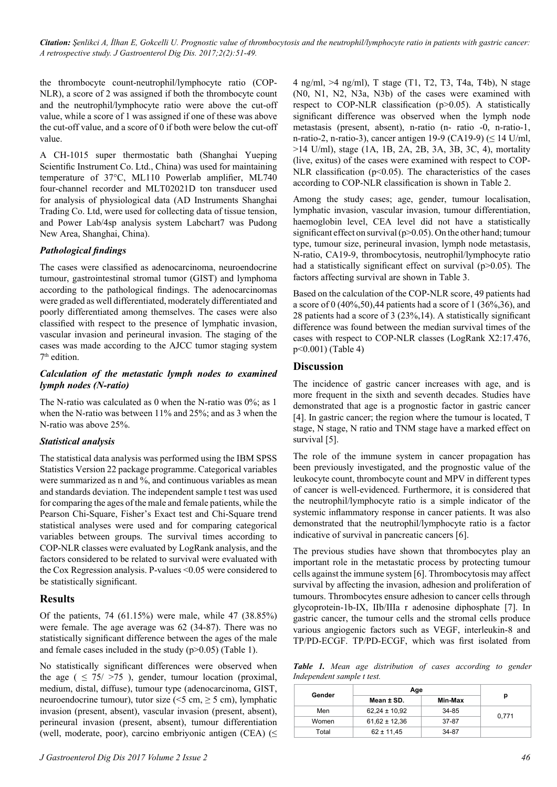*Citation: Şenlikci A, İlhan E, Gokcelli U. Prognostic value of thrombocytosis and the neutrophil/lymphocyte ratio in patients with gastric cancer: A retrospective study. J Gastroenterol Dig Dis. 2017;2(2):51-49.*

the thrombocyte count-neutrophil/lymphocyte ratio (COP-NLR), a score of 2 was assigned if both the thrombocyte count and the neutrophil/lymphocyte ratio were above the cut-off value, while a score of 1 was assigned if one of these was above the cut-off value, and a score of 0 if both were below the cut-off value.

A CH-1015 super thermostatic bath (Shanghai Yueping Scientific Instrument Co. Ltd., China) was used for maintaining temperature of 37°C, ML110 Powerlab amplifier, ML740 four-channel recorder and MLT02021D ton transducer used for analysis of physiological data (AD Instruments Shanghai Trading Co. Ltd, were used for collecting data of tissue tension, and Power Lab/4sp analysis system Labchart7 was Pudong New Area, Shanghai, China).

#### *Pathological findings*

The cases were classified as adenocarcinoma, neuroendocrine tumour, gastrointestinal stromal tumor (GIST) and lymphoma according to the pathological findings. The adenocarcinomas were graded as well differentiated, moderately differentiated and poorly differentiated among themselves. The cases were also classified with respect to the presence of lymphatic invasion, vascular invasion and perineural invasion. The staging of the cases was made according to the AJCC tumor staging system 7th edition.

#### *Calculation of the metastatic lymph nodes to examined lymph nodes (N-ratio)*

The N-ratio was calculated as 0 when the N-ratio was 0%; as 1 when the N-ratio was between 11% and 25%; and as 3 when the N-ratio was above 25%.

#### *Statistical analysis*

The statistical data analysis was performed using the IBM SPSS Statistics Version 22 package programme. Categorical variables were summarized as n and %, and continuous variables as mean and standards deviation. The independent sample t test was used for comparing the ages of the male and female patients, while the Pearson Chi-Square, Fisher's Exact test and Chi-Square trend statistical analyses were used and for comparing categorical variables between groups. The survival times according to COP-NLR classes were evaluated by LogRank analysis, and the factors considered to be related to survival were evaluated with the Cox Regression analysis. P-values <0.05 were considered to be statistically significant.

#### **Results**

Of the patients, 74 (61.15%) were male, while 47 (38.85%) were female. The age average was 62 (34-87). There was no statistically significant difference between the ages of the male and female cases included in the study  $(p>0.05)$  (Table 1).

No statistically significant differences were observed when the age (  $\leq$  75/ >75 ), gender, tumour location (proximal, medium, distal, diffuse), tumour type (adenocarcinoma, GIST, neuroendocrine tumour), tutor size ( $\leq$ 5 cm,  $\geq$  5 cm), lymphatic invasion (present, absent), vascular invasion (present, absent), perineural invasion (present, absent), tumour differentiation (well, moderate, poor), carcino embriyonic antigen (CEA)  $(\leq$ 

4 ng/ml, >4 ng/ml), T stage (T1, T2, T3, T4a, T4b), N stage (N0, N1, N2, N3a, N3b) of the cases were examined with respect to COP-NLR classification (p>0.05). A statistically significant difference was observed when the lymph node metastasis (present, absent), n-ratio (n- ratio -0, n-ratio-1, n-ratio-2, n-ratio-3), cancer antigen 19-9 (CA19-9) ( $\leq$  14 U/ml, >14 U/ml), stage (1A, 1B, 2A, 2B, 3A, 3B, 3C, 4), mortality (live, exitus) of the cases were examined with respect to COP-NLR classification  $(p<0.05)$ . The characteristics of the cases according to COP-NLR classification is shown in Table 2.

Among the study cases; age, gender, tumour localisation, lymphatic invasion, vascular invasion, tumour differentiation, haemoglobin level, CEA level did not have a statistically significant effect on survival (p>0.05). On the other hand; tumour type, tumour size, perineural invasion, lymph node metastasis, N-ratio, CA19-9, thrombocytosis, neutrophil/lymphocyte ratio had a statistically significant effect on survival (p>0.05). The factors affecting survival are shown in Table 3.

Based on the calculation of the COP-NLR score, 49 patients had a score of 0  $(40\%, 50)$ , 44 patients had a score of 1  $(36\%, 36)$ , and 28 patients had a score of 3 (23%,14). A statistically significant difference was found between the median survival times of the cases with respect to COP-NLR classes (LogRank X2:17.476, p<0.001) (Table 4)

#### **Discussion**

The incidence of gastric cancer increases with age, and is more frequent in the sixth and seventh decades. Studies have demonstrated that age is a prognostic factor in gastric cancer [4]. In gastric cancer; the region where the tumour is located, T stage, N stage, N ratio and TNM stage have a marked effect on survival [5].

The role of the immune system in cancer propagation has been previously investigated, and the prognostic value of the leukocyte count, thrombocyte count and MPV in different types of cancer is well-evidenced. Furthermore, it is considered that the neutrophil/lymphocyte ratio is a simple indicator of the systemic inflammatory response in cancer patients. It was also demonstrated that the neutrophil/lymphocyte ratio is a factor indicative of survival in pancreatic cancers [6].

The previous studies have shown that thrombocytes play an important role in the metastatic process by protecting tumour cells against the immune system [6]. Thrombocytosis may affect survival by affecting the invasion, adhesion and proliferation of tumours. Thrombocytes ensure adhesion to cancer cells through glycoprotein-1b-IX, IIb/IIIa r adenosine diphosphate [7]. In gastric cancer, the tumour cells and the stromal cells produce various angiogenic factors such as VEGF, interleukin-8 and TP/PD-ECGF. TP/PD-ECGF, which was first isolated from

*Table 1. Mean age distribution of cases according to gender Independent sample t test.*

| Gender | Age               |         |       |  |
|--------|-------------------|---------|-------|--|
|        | Mean ± SD.        | Min-Max | р     |  |
| Men    | $62,24 \pm 10,92$ | 34-85   |       |  |
| Women  | $61,62 \pm 12,36$ | 37-87   | 0,771 |  |
| Total  | $62 \pm 11,45$    | 34-87   |       |  |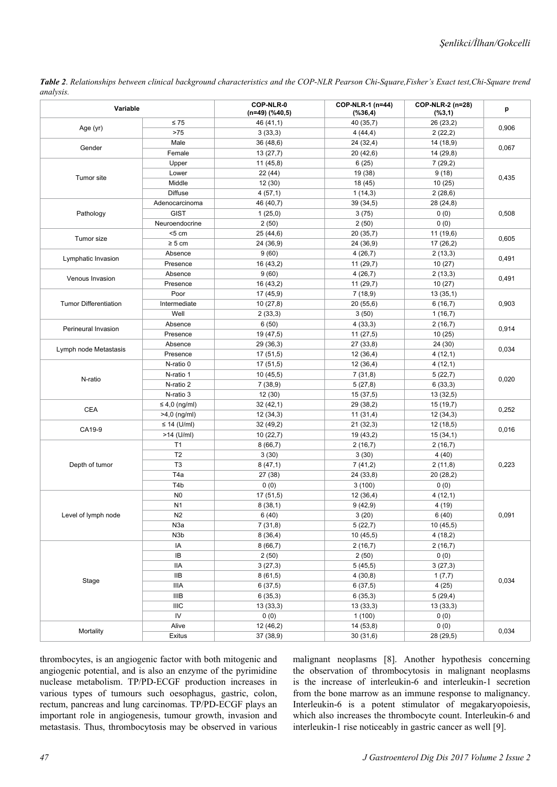*Table 2*. *Relationships between clinical background characteristics and the COP-NLR Pearson Chi-Square,Fisher's Exact test,Chi-Square trend analysis.*

| $\leq 75$<br>46 (41,1)<br>40 (35,7)<br>26 (23,2)<br>0,906<br>Age (yr)<br>$>75$<br>3(33,3)<br>4(44,4)<br>2(22,2)<br>Male<br>36 (48,6)<br>24(32,4)<br>14 (18,9)<br>Gender<br>0,067<br>Female<br>13(27,7)<br>20(42,6)<br>14 (29,8)<br>6(25)<br>7(29,2)<br>Upper<br>11(45,8)<br>22(44)<br>19 (38)<br>9(18)<br>Lower<br>Tumor site<br>0,435<br>Middle<br>12 (30)<br>18 (45)<br>10(25)<br><b>Diffuse</b><br>4(57,1)<br>1(14,3)<br>2(28,6)<br>39(34,5)<br>28 (24,8)<br>Adenocarcinoma<br>46 (40,7)<br><b>GIST</b><br>3(75)<br>0(0)<br>Pathology<br>1(25,0)<br>0,508<br>Neuroendocrine<br>2(50)<br>0(0)<br>2(50)<br>$<$ 5 cm<br>25 (44,6)<br>20 (35,7)<br>11(19,6)<br>Tumor size<br>0,605<br>$\geq 5$ cm<br>24 (36,9)<br>24 (36,9)<br>17 (26,2)<br>Absence<br>9(60)<br>4(26,7)<br>2(13,3)<br>Lymphatic Invasion<br>0,491<br>Presence<br>11(29,7)<br>10(27)<br>16 (43,2)<br>Absence<br>9(60)<br>4(26,7)<br>2(13,3)<br>Venous Invasion<br>0,491<br>Presence<br>10(27)<br>16 (43,2)<br>11(29,7)<br>Poor<br>17 (45,9)<br>7(18,9)<br>13(35,1)<br><b>Tumor Differentiation</b><br>Intermediate<br>10(27,8)<br>20(55,6)<br>0,903<br>6(16,7)<br>Well<br>2(33,3)<br>3(50)<br>1(16,7)<br>Absence<br>6(50)<br>4(33,3)<br>2(16,7)<br>Perineural Invasion<br>0,914<br>Presence<br>10(25)<br>19 (47,5)<br>11(27,5)<br>Absence<br>24 (30)<br>29 (36,3)<br>27 (33,8)<br>0,034<br>Lymph node Metastasis<br>Presence<br>17(51,5)<br>12(36,4)<br>4(12,1)<br>17(51,5)<br>N-ratio 0<br>12(36,4)<br>4(12,1)<br>N-ratio 1<br>10(45,5)<br>7(31,8)<br>5(22,7)<br>N-ratio<br>0,020<br>N-ratio 2<br>6(33,3)<br>7(38,9)<br>5(27,8)<br>N-ratio 3<br>12(30)<br>15(37,5)<br>13(32,5)<br>$\leq 4.0$ (ng/ml)<br>32 (42,1)<br>29 (38,2)<br>15 (19,7)<br><b>CEA</b><br>0,252<br>$>4,0$ (ng/ml)<br>11(31,4)<br>12(34,3)<br>12(34,3)<br>$\leq$ 14 (U/ml)<br>32 (49,2)<br>21(32,3)<br>12 (18,5)<br>CA19-9<br>0,016<br>$>14$ (U/ml)<br>10(22,7)<br>19 (43,2)<br>15(34,1)<br>T1<br>8(66,7)<br>2(16,7)<br>2(16,7)<br>T <sub>2</sub><br>3(30)<br>4(40)<br>3(30)<br>T <sub>3</sub><br>8(47,1)<br>0,223<br>Depth of tumor<br>7(41,2)<br>2(11,8)<br>T <sub>4</sub> a<br>27 (38)<br>24 (33,8)<br>20(28,2)<br>T <sub>4</sub> b<br>0(0)<br>3(100)<br>0(0)<br>N <sub>0</sub><br>17 (51,5)<br>4(12,1)<br>12(36,4)<br>N <sub>1</sub><br>9(42,9)<br>4(19)<br>8(38,1)<br>N <sub>2</sub><br>0,091<br>Level of lymph node<br>6(40)<br>3(20)<br>6(40)<br>N3a<br>7(31,8)<br>5(22,7)<br>10(45,5)<br>N <sub>3</sub> b<br>8(36,4)<br>10(45,5)<br>4(18,2)<br>IA<br>8(66,7)<br>2(16,7)<br>2(16,7)<br>IB<br>2(50)<br>2(50)<br>0(0)<br>IIA<br>3(27,3)<br>5(45,5)<br>3(27,3)<br><b>IIB</b><br>8(61,5)<br>4(30,8)<br>1(7,7)<br>Stage<br>0,034<br><b>IIIA</b><br>6(37,5)<br>4(25)<br>6(37,5)<br>$\ensuremath{\mathsf{I\!I}}\xspace\ensuremath{\mathsf{I\!I}}\xspace\ensuremath{\mathsf{B}}\xspace$<br>6(35,3)<br>6(35,3)<br>5(29,4)<br>IIIC<br>13(33,3)<br>13(33,3)<br>13(33,3)<br>IV<br>0(0)<br>1(100)<br>0(0)<br>Alive<br>14(53,8)<br>0(0)<br>12 (46,2)<br>Mortality<br>0,034<br>Exitus<br>37 (38,9)<br>30(31,6)<br>28 (29,5) | Variable | COP-NLR-0<br>$(n=49)$ (%40,5) | COP-NLR-1 (n=44)<br>$(*36,4)$ | COP-NLR-2 (n=28)<br>(%3,1) | p |  |
|------------------------------------------------------------------------------------------------------------------------------------------------------------------------------------------------------------------------------------------------------------------------------------------------------------------------------------------------------------------------------------------------------------------------------------------------------------------------------------------------------------------------------------------------------------------------------------------------------------------------------------------------------------------------------------------------------------------------------------------------------------------------------------------------------------------------------------------------------------------------------------------------------------------------------------------------------------------------------------------------------------------------------------------------------------------------------------------------------------------------------------------------------------------------------------------------------------------------------------------------------------------------------------------------------------------------------------------------------------------------------------------------------------------------------------------------------------------------------------------------------------------------------------------------------------------------------------------------------------------------------------------------------------------------------------------------------------------------------------------------------------------------------------------------------------------------------------------------------------------------------------------------------------------------------------------------------------------------------------------------------------------------------------------------------------------------------------------------------------------------------------------------------------------------------------------------------------------------------------------------------------------------------------------------------------------------------------------------------------------------------------------------------------------------------------------------------------------------------------------------------------------------------------------------------------------------------------------------------------------------------------------------------------------------------------------------------------------------------------------------------------------------------------------------------------------------------------------------------------------------------------------------------------------------------------------------------------------------------------------------------------------------------------------------------|----------|-------------------------------|-------------------------------|----------------------------|---|--|
|                                                                                                                                                                                                                                                                                                                                                                                                                                                                                                                                                                                                                                                                                                                                                                                                                                                                                                                                                                                                                                                                                                                                                                                                                                                                                                                                                                                                                                                                                                                                                                                                                                                                                                                                                                                                                                                                                                                                                                                                                                                                                                                                                                                                                                                                                                                                                                                                                                                                                                                                                                                                                                                                                                                                                                                                                                                                                                                                                                                                                                                      |          |                               |                               |                            |   |  |
|                                                                                                                                                                                                                                                                                                                                                                                                                                                                                                                                                                                                                                                                                                                                                                                                                                                                                                                                                                                                                                                                                                                                                                                                                                                                                                                                                                                                                                                                                                                                                                                                                                                                                                                                                                                                                                                                                                                                                                                                                                                                                                                                                                                                                                                                                                                                                                                                                                                                                                                                                                                                                                                                                                                                                                                                                                                                                                                                                                                                                                                      |          |                               |                               |                            |   |  |
|                                                                                                                                                                                                                                                                                                                                                                                                                                                                                                                                                                                                                                                                                                                                                                                                                                                                                                                                                                                                                                                                                                                                                                                                                                                                                                                                                                                                                                                                                                                                                                                                                                                                                                                                                                                                                                                                                                                                                                                                                                                                                                                                                                                                                                                                                                                                                                                                                                                                                                                                                                                                                                                                                                                                                                                                                                                                                                                                                                                                                                                      |          |                               |                               |                            |   |  |
|                                                                                                                                                                                                                                                                                                                                                                                                                                                                                                                                                                                                                                                                                                                                                                                                                                                                                                                                                                                                                                                                                                                                                                                                                                                                                                                                                                                                                                                                                                                                                                                                                                                                                                                                                                                                                                                                                                                                                                                                                                                                                                                                                                                                                                                                                                                                                                                                                                                                                                                                                                                                                                                                                                                                                                                                                                                                                                                                                                                                                                                      |          |                               |                               |                            |   |  |
|                                                                                                                                                                                                                                                                                                                                                                                                                                                                                                                                                                                                                                                                                                                                                                                                                                                                                                                                                                                                                                                                                                                                                                                                                                                                                                                                                                                                                                                                                                                                                                                                                                                                                                                                                                                                                                                                                                                                                                                                                                                                                                                                                                                                                                                                                                                                                                                                                                                                                                                                                                                                                                                                                                                                                                                                                                                                                                                                                                                                                                                      |          |                               |                               |                            |   |  |
|                                                                                                                                                                                                                                                                                                                                                                                                                                                                                                                                                                                                                                                                                                                                                                                                                                                                                                                                                                                                                                                                                                                                                                                                                                                                                                                                                                                                                                                                                                                                                                                                                                                                                                                                                                                                                                                                                                                                                                                                                                                                                                                                                                                                                                                                                                                                                                                                                                                                                                                                                                                                                                                                                                                                                                                                                                                                                                                                                                                                                                                      |          |                               |                               |                            |   |  |
|                                                                                                                                                                                                                                                                                                                                                                                                                                                                                                                                                                                                                                                                                                                                                                                                                                                                                                                                                                                                                                                                                                                                                                                                                                                                                                                                                                                                                                                                                                                                                                                                                                                                                                                                                                                                                                                                                                                                                                                                                                                                                                                                                                                                                                                                                                                                                                                                                                                                                                                                                                                                                                                                                                                                                                                                                                                                                                                                                                                                                                                      |          |                               |                               |                            |   |  |
|                                                                                                                                                                                                                                                                                                                                                                                                                                                                                                                                                                                                                                                                                                                                                                                                                                                                                                                                                                                                                                                                                                                                                                                                                                                                                                                                                                                                                                                                                                                                                                                                                                                                                                                                                                                                                                                                                                                                                                                                                                                                                                                                                                                                                                                                                                                                                                                                                                                                                                                                                                                                                                                                                                                                                                                                                                                                                                                                                                                                                                                      |          |                               |                               |                            |   |  |
|                                                                                                                                                                                                                                                                                                                                                                                                                                                                                                                                                                                                                                                                                                                                                                                                                                                                                                                                                                                                                                                                                                                                                                                                                                                                                                                                                                                                                                                                                                                                                                                                                                                                                                                                                                                                                                                                                                                                                                                                                                                                                                                                                                                                                                                                                                                                                                                                                                                                                                                                                                                                                                                                                                                                                                                                                                                                                                                                                                                                                                                      |          |                               |                               |                            |   |  |
|                                                                                                                                                                                                                                                                                                                                                                                                                                                                                                                                                                                                                                                                                                                                                                                                                                                                                                                                                                                                                                                                                                                                                                                                                                                                                                                                                                                                                                                                                                                                                                                                                                                                                                                                                                                                                                                                                                                                                                                                                                                                                                                                                                                                                                                                                                                                                                                                                                                                                                                                                                                                                                                                                                                                                                                                                                                                                                                                                                                                                                                      |          |                               |                               |                            |   |  |
|                                                                                                                                                                                                                                                                                                                                                                                                                                                                                                                                                                                                                                                                                                                                                                                                                                                                                                                                                                                                                                                                                                                                                                                                                                                                                                                                                                                                                                                                                                                                                                                                                                                                                                                                                                                                                                                                                                                                                                                                                                                                                                                                                                                                                                                                                                                                                                                                                                                                                                                                                                                                                                                                                                                                                                                                                                                                                                                                                                                                                                                      |          |                               |                               |                            |   |  |
|                                                                                                                                                                                                                                                                                                                                                                                                                                                                                                                                                                                                                                                                                                                                                                                                                                                                                                                                                                                                                                                                                                                                                                                                                                                                                                                                                                                                                                                                                                                                                                                                                                                                                                                                                                                                                                                                                                                                                                                                                                                                                                                                                                                                                                                                                                                                                                                                                                                                                                                                                                                                                                                                                                                                                                                                                                                                                                                                                                                                                                                      |          |                               |                               |                            |   |  |
|                                                                                                                                                                                                                                                                                                                                                                                                                                                                                                                                                                                                                                                                                                                                                                                                                                                                                                                                                                                                                                                                                                                                                                                                                                                                                                                                                                                                                                                                                                                                                                                                                                                                                                                                                                                                                                                                                                                                                                                                                                                                                                                                                                                                                                                                                                                                                                                                                                                                                                                                                                                                                                                                                                                                                                                                                                                                                                                                                                                                                                                      |          |                               |                               |                            |   |  |
|                                                                                                                                                                                                                                                                                                                                                                                                                                                                                                                                                                                                                                                                                                                                                                                                                                                                                                                                                                                                                                                                                                                                                                                                                                                                                                                                                                                                                                                                                                                                                                                                                                                                                                                                                                                                                                                                                                                                                                                                                                                                                                                                                                                                                                                                                                                                                                                                                                                                                                                                                                                                                                                                                                                                                                                                                                                                                                                                                                                                                                                      |          |                               |                               |                            |   |  |
|                                                                                                                                                                                                                                                                                                                                                                                                                                                                                                                                                                                                                                                                                                                                                                                                                                                                                                                                                                                                                                                                                                                                                                                                                                                                                                                                                                                                                                                                                                                                                                                                                                                                                                                                                                                                                                                                                                                                                                                                                                                                                                                                                                                                                                                                                                                                                                                                                                                                                                                                                                                                                                                                                                                                                                                                                                                                                                                                                                                                                                                      |          |                               |                               |                            |   |  |
|                                                                                                                                                                                                                                                                                                                                                                                                                                                                                                                                                                                                                                                                                                                                                                                                                                                                                                                                                                                                                                                                                                                                                                                                                                                                                                                                                                                                                                                                                                                                                                                                                                                                                                                                                                                                                                                                                                                                                                                                                                                                                                                                                                                                                                                                                                                                                                                                                                                                                                                                                                                                                                                                                                                                                                                                                                                                                                                                                                                                                                                      |          |                               |                               |                            |   |  |
|                                                                                                                                                                                                                                                                                                                                                                                                                                                                                                                                                                                                                                                                                                                                                                                                                                                                                                                                                                                                                                                                                                                                                                                                                                                                                                                                                                                                                                                                                                                                                                                                                                                                                                                                                                                                                                                                                                                                                                                                                                                                                                                                                                                                                                                                                                                                                                                                                                                                                                                                                                                                                                                                                                                                                                                                                                                                                                                                                                                                                                                      |          |                               |                               |                            |   |  |
|                                                                                                                                                                                                                                                                                                                                                                                                                                                                                                                                                                                                                                                                                                                                                                                                                                                                                                                                                                                                                                                                                                                                                                                                                                                                                                                                                                                                                                                                                                                                                                                                                                                                                                                                                                                                                                                                                                                                                                                                                                                                                                                                                                                                                                                                                                                                                                                                                                                                                                                                                                                                                                                                                                                                                                                                                                                                                                                                                                                                                                                      |          |                               |                               |                            |   |  |
|                                                                                                                                                                                                                                                                                                                                                                                                                                                                                                                                                                                                                                                                                                                                                                                                                                                                                                                                                                                                                                                                                                                                                                                                                                                                                                                                                                                                                                                                                                                                                                                                                                                                                                                                                                                                                                                                                                                                                                                                                                                                                                                                                                                                                                                                                                                                                                                                                                                                                                                                                                                                                                                                                                                                                                                                                                                                                                                                                                                                                                                      |          |                               |                               |                            |   |  |
|                                                                                                                                                                                                                                                                                                                                                                                                                                                                                                                                                                                                                                                                                                                                                                                                                                                                                                                                                                                                                                                                                                                                                                                                                                                                                                                                                                                                                                                                                                                                                                                                                                                                                                                                                                                                                                                                                                                                                                                                                                                                                                                                                                                                                                                                                                                                                                                                                                                                                                                                                                                                                                                                                                                                                                                                                                                                                                                                                                                                                                                      |          |                               |                               |                            |   |  |
|                                                                                                                                                                                                                                                                                                                                                                                                                                                                                                                                                                                                                                                                                                                                                                                                                                                                                                                                                                                                                                                                                                                                                                                                                                                                                                                                                                                                                                                                                                                                                                                                                                                                                                                                                                                                                                                                                                                                                                                                                                                                                                                                                                                                                                                                                                                                                                                                                                                                                                                                                                                                                                                                                                                                                                                                                                                                                                                                                                                                                                                      |          |                               |                               |                            |   |  |
|                                                                                                                                                                                                                                                                                                                                                                                                                                                                                                                                                                                                                                                                                                                                                                                                                                                                                                                                                                                                                                                                                                                                                                                                                                                                                                                                                                                                                                                                                                                                                                                                                                                                                                                                                                                                                                                                                                                                                                                                                                                                                                                                                                                                                                                                                                                                                                                                                                                                                                                                                                                                                                                                                                                                                                                                                                                                                                                                                                                                                                                      |          |                               |                               |                            |   |  |
|                                                                                                                                                                                                                                                                                                                                                                                                                                                                                                                                                                                                                                                                                                                                                                                                                                                                                                                                                                                                                                                                                                                                                                                                                                                                                                                                                                                                                                                                                                                                                                                                                                                                                                                                                                                                                                                                                                                                                                                                                                                                                                                                                                                                                                                                                                                                                                                                                                                                                                                                                                                                                                                                                                                                                                                                                                                                                                                                                                                                                                                      |          |                               |                               |                            |   |  |
|                                                                                                                                                                                                                                                                                                                                                                                                                                                                                                                                                                                                                                                                                                                                                                                                                                                                                                                                                                                                                                                                                                                                                                                                                                                                                                                                                                                                                                                                                                                                                                                                                                                                                                                                                                                                                                                                                                                                                                                                                                                                                                                                                                                                                                                                                                                                                                                                                                                                                                                                                                                                                                                                                                                                                                                                                                                                                                                                                                                                                                                      |          |                               |                               |                            |   |  |
|                                                                                                                                                                                                                                                                                                                                                                                                                                                                                                                                                                                                                                                                                                                                                                                                                                                                                                                                                                                                                                                                                                                                                                                                                                                                                                                                                                                                                                                                                                                                                                                                                                                                                                                                                                                                                                                                                                                                                                                                                                                                                                                                                                                                                                                                                                                                                                                                                                                                                                                                                                                                                                                                                                                                                                                                                                                                                                                                                                                                                                                      |          |                               |                               |                            |   |  |
|                                                                                                                                                                                                                                                                                                                                                                                                                                                                                                                                                                                                                                                                                                                                                                                                                                                                                                                                                                                                                                                                                                                                                                                                                                                                                                                                                                                                                                                                                                                                                                                                                                                                                                                                                                                                                                                                                                                                                                                                                                                                                                                                                                                                                                                                                                                                                                                                                                                                                                                                                                                                                                                                                                                                                                                                                                                                                                                                                                                                                                                      |          |                               |                               |                            |   |  |
|                                                                                                                                                                                                                                                                                                                                                                                                                                                                                                                                                                                                                                                                                                                                                                                                                                                                                                                                                                                                                                                                                                                                                                                                                                                                                                                                                                                                                                                                                                                                                                                                                                                                                                                                                                                                                                                                                                                                                                                                                                                                                                                                                                                                                                                                                                                                                                                                                                                                                                                                                                                                                                                                                                                                                                                                                                                                                                                                                                                                                                                      |          |                               |                               |                            |   |  |
|                                                                                                                                                                                                                                                                                                                                                                                                                                                                                                                                                                                                                                                                                                                                                                                                                                                                                                                                                                                                                                                                                                                                                                                                                                                                                                                                                                                                                                                                                                                                                                                                                                                                                                                                                                                                                                                                                                                                                                                                                                                                                                                                                                                                                                                                                                                                                                                                                                                                                                                                                                                                                                                                                                                                                                                                                                                                                                                                                                                                                                                      |          |                               |                               |                            |   |  |
|                                                                                                                                                                                                                                                                                                                                                                                                                                                                                                                                                                                                                                                                                                                                                                                                                                                                                                                                                                                                                                                                                                                                                                                                                                                                                                                                                                                                                                                                                                                                                                                                                                                                                                                                                                                                                                                                                                                                                                                                                                                                                                                                                                                                                                                                                                                                                                                                                                                                                                                                                                                                                                                                                                                                                                                                                                                                                                                                                                                                                                                      |          |                               |                               |                            |   |  |
|                                                                                                                                                                                                                                                                                                                                                                                                                                                                                                                                                                                                                                                                                                                                                                                                                                                                                                                                                                                                                                                                                                                                                                                                                                                                                                                                                                                                                                                                                                                                                                                                                                                                                                                                                                                                                                                                                                                                                                                                                                                                                                                                                                                                                                                                                                                                                                                                                                                                                                                                                                                                                                                                                                                                                                                                                                                                                                                                                                                                                                                      |          |                               |                               |                            |   |  |
|                                                                                                                                                                                                                                                                                                                                                                                                                                                                                                                                                                                                                                                                                                                                                                                                                                                                                                                                                                                                                                                                                                                                                                                                                                                                                                                                                                                                                                                                                                                                                                                                                                                                                                                                                                                                                                                                                                                                                                                                                                                                                                                                                                                                                                                                                                                                                                                                                                                                                                                                                                                                                                                                                                                                                                                                                                                                                                                                                                                                                                                      |          |                               |                               |                            |   |  |
|                                                                                                                                                                                                                                                                                                                                                                                                                                                                                                                                                                                                                                                                                                                                                                                                                                                                                                                                                                                                                                                                                                                                                                                                                                                                                                                                                                                                                                                                                                                                                                                                                                                                                                                                                                                                                                                                                                                                                                                                                                                                                                                                                                                                                                                                                                                                                                                                                                                                                                                                                                                                                                                                                                                                                                                                                                                                                                                                                                                                                                                      |          |                               |                               |                            |   |  |
|                                                                                                                                                                                                                                                                                                                                                                                                                                                                                                                                                                                                                                                                                                                                                                                                                                                                                                                                                                                                                                                                                                                                                                                                                                                                                                                                                                                                                                                                                                                                                                                                                                                                                                                                                                                                                                                                                                                                                                                                                                                                                                                                                                                                                                                                                                                                                                                                                                                                                                                                                                                                                                                                                                                                                                                                                                                                                                                                                                                                                                                      |          |                               |                               |                            |   |  |
|                                                                                                                                                                                                                                                                                                                                                                                                                                                                                                                                                                                                                                                                                                                                                                                                                                                                                                                                                                                                                                                                                                                                                                                                                                                                                                                                                                                                                                                                                                                                                                                                                                                                                                                                                                                                                                                                                                                                                                                                                                                                                                                                                                                                                                                                                                                                                                                                                                                                                                                                                                                                                                                                                                                                                                                                                                                                                                                                                                                                                                                      |          |                               |                               |                            |   |  |
|                                                                                                                                                                                                                                                                                                                                                                                                                                                                                                                                                                                                                                                                                                                                                                                                                                                                                                                                                                                                                                                                                                                                                                                                                                                                                                                                                                                                                                                                                                                                                                                                                                                                                                                                                                                                                                                                                                                                                                                                                                                                                                                                                                                                                                                                                                                                                                                                                                                                                                                                                                                                                                                                                                                                                                                                                                                                                                                                                                                                                                                      |          |                               |                               |                            |   |  |
|                                                                                                                                                                                                                                                                                                                                                                                                                                                                                                                                                                                                                                                                                                                                                                                                                                                                                                                                                                                                                                                                                                                                                                                                                                                                                                                                                                                                                                                                                                                                                                                                                                                                                                                                                                                                                                                                                                                                                                                                                                                                                                                                                                                                                                                                                                                                                                                                                                                                                                                                                                                                                                                                                                                                                                                                                                                                                                                                                                                                                                                      |          |                               |                               |                            |   |  |
|                                                                                                                                                                                                                                                                                                                                                                                                                                                                                                                                                                                                                                                                                                                                                                                                                                                                                                                                                                                                                                                                                                                                                                                                                                                                                                                                                                                                                                                                                                                                                                                                                                                                                                                                                                                                                                                                                                                                                                                                                                                                                                                                                                                                                                                                                                                                                                                                                                                                                                                                                                                                                                                                                                                                                                                                                                                                                                                                                                                                                                                      |          |                               |                               |                            |   |  |
|                                                                                                                                                                                                                                                                                                                                                                                                                                                                                                                                                                                                                                                                                                                                                                                                                                                                                                                                                                                                                                                                                                                                                                                                                                                                                                                                                                                                                                                                                                                                                                                                                                                                                                                                                                                                                                                                                                                                                                                                                                                                                                                                                                                                                                                                                                                                                                                                                                                                                                                                                                                                                                                                                                                                                                                                                                                                                                                                                                                                                                                      |          |                               |                               |                            |   |  |
|                                                                                                                                                                                                                                                                                                                                                                                                                                                                                                                                                                                                                                                                                                                                                                                                                                                                                                                                                                                                                                                                                                                                                                                                                                                                                                                                                                                                                                                                                                                                                                                                                                                                                                                                                                                                                                                                                                                                                                                                                                                                                                                                                                                                                                                                                                                                                                                                                                                                                                                                                                                                                                                                                                                                                                                                                                                                                                                                                                                                                                                      |          |                               |                               |                            |   |  |
|                                                                                                                                                                                                                                                                                                                                                                                                                                                                                                                                                                                                                                                                                                                                                                                                                                                                                                                                                                                                                                                                                                                                                                                                                                                                                                                                                                                                                                                                                                                                                                                                                                                                                                                                                                                                                                                                                                                                                                                                                                                                                                                                                                                                                                                                                                                                                                                                                                                                                                                                                                                                                                                                                                                                                                                                                                                                                                                                                                                                                                                      |          |                               |                               |                            |   |  |
|                                                                                                                                                                                                                                                                                                                                                                                                                                                                                                                                                                                                                                                                                                                                                                                                                                                                                                                                                                                                                                                                                                                                                                                                                                                                                                                                                                                                                                                                                                                                                                                                                                                                                                                                                                                                                                                                                                                                                                                                                                                                                                                                                                                                                                                                                                                                                                                                                                                                                                                                                                                                                                                                                                                                                                                                                                                                                                                                                                                                                                                      |          |                               |                               |                            |   |  |
|                                                                                                                                                                                                                                                                                                                                                                                                                                                                                                                                                                                                                                                                                                                                                                                                                                                                                                                                                                                                                                                                                                                                                                                                                                                                                                                                                                                                                                                                                                                                                                                                                                                                                                                                                                                                                                                                                                                                                                                                                                                                                                                                                                                                                                                                                                                                                                                                                                                                                                                                                                                                                                                                                                                                                                                                                                                                                                                                                                                                                                                      |          |                               |                               |                            |   |  |
|                                                                                                                                                                                                                                                                                                                                                                                                                                                                                                                                                                                                                                                                                                                                                                                                                                                                                                                                                                                                                                                                                                                                                                                                                                                                                                                                                                                                                                                                                                                                                                                                                                                                                                                                                                                                                                                                                                                                                                                                                                                                                                                                                                                                                                                                                                                                                                                                                                                                                                                                                                                                                                                                                                                                                                                                                                                                                                                                                                                                                                                      |          |                               |                               |                            |   |  |
|                                                                                                                                                                                                                                                                                                                                                                                                                                                                                                                                                                                                                                                                                                                                                                                                                                                                                                                                                                                                                                                                                                                                                                                                                                                                                                                                                                                                                                                                                                                                                                                                                                                                                                                                                                                                                                                                                                                                                                                                                                                                                                                                                                                                                                                                                                                                                                                                                                                                                                                                                                                                                                                                                                                                                                                                                                                                                                                                                                                                                                                      |          |                               |                               |                            |   |  |
|                                                                                                                                                                                                                                                                                                                                                                                                                                                                                                                                                                                                                                                                                                                                                                                                                                                                                                                                                                                                                                                                                                                                                                                                                                                                                                                                                                                                                                                                                                                                                                                                                                                                                                                                                                                                                                                                                                                                                                                                                                                                                                                                                                                                                                                                                                                                                                                                                                                                                                                                                                                                                                                                                                                                                                                                                                                                                                                                                                                                                                                      |          |                               |                               |                            |   |  |
|                                                                                                                                                                                                                                                                                                                                                                                                                                                                                                                                                                                                                                                                                                                                                                                                                                                                                                                                                                                                                                                                                                                                                                                                                                                                                                                                                                                                                                                                                                                                                                                                                                                                                                                                                                                                                                                                                                                                                                                                                                                                                                                                                                                                                                                                                                                                                                                                                                                                                                                                                                                                                                                                                                                                                                                                                                                                                                                                                                                                                                                      |          |                               |                               |                            |   |  |
|                                                                                                                                                                                                                                                                                                                                                                                                                                                                                                                                                                                                                                                                                                                                                                                                                                                                                                                                                                                                                                                                                                                                                                                                                                                                                                                                                                                                                                                                                                                                                                                                                                                                                                                                                                                                                                                                                                                                                                                                                                                                                                                                                                                                                                                                                                                                                                                                                                                                                                                                                                                                                                                                                                                                                                                                                                                                                                                                                                                                                                                      |          |                               |                               |                            |   |  |
|                                                                                                                                                                                                                                                                                                                                                                                                                                                                                                                                                                                                                                                                                                                                                                                                                                                                                                                                                                                                                                                                                                                                                                                                                                                                                                                                                                                                                                                                                                                                                                                                                                                                                                                                                                                                                                                                                                                                                                                                                                                                                                                                                                                                                                                                                                                                                                                                                                                                                                                                                                                                                                                                                                                                                                                                                                                                                                                                                                                                                                                      |          |                               |                               |                            |   |  |
|                                                                                                                                                                                                                                                                                                                                                                                                                                                                                                                                                                                                                                                                                                                                                                                                                                                                                                                                                                                                                                                                                                                                                                                                                                                                                                                                                                                                                                                                                                                                                                                                                                                                                                                                                                                                                                                                                                                                                                                                                                                                                                                                                                                                                                                                                                                                                                                                                                                                                                                                                                                                                                                                                                                                                                                                                                                                                                                                                                                                                                                      |          |                               |                               |                            |   |  |
|                                                                                                                                                                                                                                                                                                                                                                                                                                                                                                                                                                                                                                                                                                                                                                                                                                                                                                                                                                                                                                                                                                                                                                                                                                                                                                                                                                                                                                                                                                                                                                                                                                                                                                                                                                                                                                                                                                                                                                                                                                                                                                                                                                                                                                                                                                                                                                                                                                                                                                                                                                                                                                                                                                                                                                                                                                                                                                                                                                                                                                                      |          |                               |                               |                            |   |  |
|                                                                                                                                                                                                                                                                                                                                                                                                                                                                                                                                                                                                                                                                                                                                                                                                                                                                                                                                                                                                                                                                                                                                                                                                                                                                                                                                                                                                                                                                                                                                                                                                                                                                                                                                                                                                                                                                                                                                                                                                                                                                                                                                                                                                                                                                                                                                                                                                                                                                                                                                                                                                                                                                                                                                                                                                                                                                                                                                                                                                                                                      |          |                               |                               |                            |   |  |
|                                                                                                                                                                                                                                                                                                                                                                                                                                                                                                                                                                                                                                                                                                                                                                                                                                                                                                                                                                                                                                                                                                                                                                                                                                                                                                                                                                                                                                                                                                                                                                                                                                                                                                                                                                                                                                                                                                                                                                                                                                                                                                                                                                                                                                                                                                                                                                                                                                                                                                                                                                                                                                                                                                                                                                                                                                                                                                                                                                                                                                                      |          |                               |                               |                            |   |  |
|                                                                                                                                                                                                                                                                                                                                                                                                                                                                                                                                                                                                                                                                                                                                                                                                                                                                                                                                                                                                                                                                                                                                                                                                                                                                                                                                                                                                                                                                                                                                                                                                                                                                                                                                                                                                                                                                                                                                                                                                                                                                                                                                                                                                                                                                                                                                                                                                                                                                                                                                                                                                                                                                                                                                                                                                                                                                                                                                                                                                                                                      |          |                               |                               |                            |   |  |

thrombocytes, is an angiogenic factor with both mitogenic and angiogenic potential, and is also an enzyme of the pyrimidine nuclease metabolism. TP/PD-ECGF production increases in various types of tumours such oesophagus, gastric, colon, rectum, pancreas and lung carcinomas. TP/PD-ECGF plays an important role in angiogenesis, tumour growth, invasion and metastasis. Thus, thrombocytosis may be observed in various malignant neoplasms [8]. Another hypothesis concerning the observation of thrombocytosis in malignant neoplasms is the increase of interleukin-6 and interleukin-1 secretion from the bone marrow as an immune response to malignancy. Interleukin-6 is a potent stimulator of megakaryopoiesis, which also increases the thrombocyte count. Interleukin-6 and interleukin-1 rise noticeably in gastric cancer as well [9].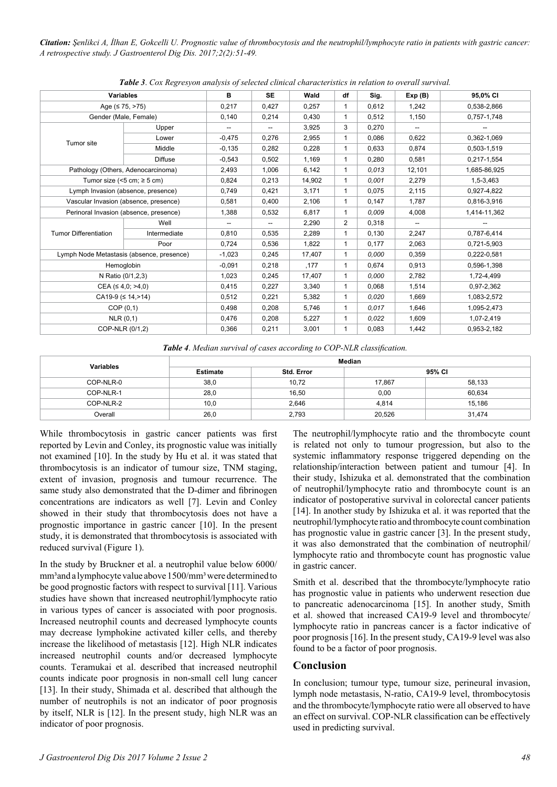*Citation: Şenlikci A, İlhan E, Gokcelli U. Prognostic value of thrombocytosis and the neutrophil/lymphocyte ratio in patients with gastric cancer: A retrospective study. J Gastroenterol Dig Dis. 2017;2(2):51-49.*

| <u>xwele et control eston munitism of selectem entirem entire meter islaes in Ferminon io official sin</u> |                |          |           |        |              |       |        |              |
|------------------------------------------------------------------------------------------------------------|----------------|----------|-----------|--------|--------------|-------|--------|--------------|
| <b>Variables</b>                                                                                           |                | B        | <b>SE</b> | Wald   | df           | Sig.  | Exp(B) | 95,0% CI     |
| Age $(5.75, 275)$                                                                                          |                | 0,217    | 0,427     | 0,257  | 1            | 0,612 | 1,242  | 0,538-2,866  |
| Gender (Male, Female)                                                                                      |                | 0,140    | 0,214     | 0,430  | 1            | 0,512 | 1,150  | 0,757-1,748  |
|                                                                                                            | Upper          |          | --        | 3,925  | 3            | 0,270 |        |              |
|                                                                                                            | Lower          | $-0,475$ | 0,276     | 2,955  | $\mathbf{1}$ | 0,086 | 0,622  | 0,362-1,069  |
| Tumor site                                                                                                 | Middle         | $-0,135$ | 0,282     | 0,228  | $\mathbf{1}$ | 0,633 | 0,874  | 0,503-1,519  |
|                                                                                                            | <b>Diffuse</b> | $-0.543$ | 0,502     | 1,169  | $\mathbf{1}$ | 0,280 | 0,581  | 0,217-1,554  |
| Pathology (Others, Adenocarcinoma)                                                                         |                | 2,493    | 1,006     | 6,142  | $\mathbf{1}$ | 0,013 | 12,101 | 1,685-86,925 |
| Tumor size (<5 cm; $\ge$ 5 cm)                                                                             |                | 0,824    | 0,213     | 14,902 | $\mathbf{1}$ | 0.001 | 2,279  | 1,5-3,463    |
| Lymph Invasion (absence, presence)                                                                         |                | 0,749    | 0,421     | 3,171  | 1            | 0,075 | 2,115  | 0,927-4,822  |
| Vascular Invasion (absence, presence)                                                                      |                | 0,581    | 0,400     | 2,106  | $\mathbf{1}$ | 0,147 | 1,787  | 0,816-3,916  |
| Perinoral Invasion (absence, presence)                                                                     |                | 1,388    | 0,532     | 6,817  | 1            | 0.009 | 4,008  | 1,414-11,362 |
|                                                                                                            | Well           | --       | --        | 2,290  | 2            | 0,318 | --     |              |
| <b>Tumor Differentiation</b>                                                                               | Intermediate   | 0,810    | 0,535     | 2,289  | 1            | 0,130 | 2,247  | 0,787-6,414  |
|                                                                                                            | Poor           | 0,724    | 0,536     | 1,822  | $\mathbf{1}$ | 0.177 | 2,063  | 0,721-5,903  |
| Lymph Node Metastasis (absence, presence)                                                                  |                | $-1,023$ | 0,245     | 17,407 | $\mathbf{1}$ | 0,000 | 0,359  | 0,222-0,581  |
| Hemoglobin                                                                                                 |                | $-0,091$ | 0,218     | ,177   | 1            | 0.674 | 0,913  | 0,596-1,398  |
| N Ratio (0/1,2,3)                                                                                          |                | 1,023    | 0,245     | 17,407 | $\mathbf{1}$ | 0,000 | 2,782  | 1,72-4,499   |
| $CEA$ ( $\leq 4,0; >4,0$ )                                                                                 |                | 0,415    | 0,227     | 3,340  | $\mathbf{1}$ | 0,068 | 1,514  | 0,97-2,362   |
| $CA19-9 \leq 14. > 14$                                                                                     |                | 0,512    | 0,221     | 5,382  | $\mathbf{1}$ | 0.020 | 1,669  | 1,083-2,572  |
| COP(0,1)                                                                                                   |                | 0,498    | 0,208     | 5,746  | $\mathbf{1}$ | 0.017 | 1,646  | 1,095-2,473  |
| NLR (0,1)                                                                                                  |                | 0,476    | 0,208     | 5,227  | $\mathbf{1}$ | 0.022 | 1,609  | 1,07-2,419   |
| COP-NLR (0/1,2)                                                                                            |                | 0,366    | 0,211     | 3,001  | 1            | 0,083 | 1,442  | 0,953-2,182  |

*Table 3*. *Cox Regresyon analysis of selected clinical characteristics in relation to overall survival.*

*Table 4*. *Median survival of cases according to COP-NLR classification.*

| <b>Variables</b> | Median          |            |        |        |  |  |
|------------------|-----------------|------------|--------|--------|--|--|
|                  | <b>Estimate</b> | Std. Error | 95% CI |        |  |  |
| COP-NLR-0        | 38,0            | 10,72      | 17.867 | 58,133 |  |  |
| COP-NLR-1        | 28,0            | 16,50      | 0,00   | 60.634 |  |  |
| COP-NLR-2        | 10,0            | 2,646      | 4,814  | 15,186 |  |  |
| Overall          | 26,0            | 2,793      | 20,526 | 31,474 |  |  |

While thrombocytosis in gastric cancer patients was first reported by Levin and Conley, its prognostic value was initially not examined [10]. In the study by Hu et al. it was stated that thrombocytosis is an indicator of tumour size, TNM staging, extent of invasion, prognosis and tumour recurrence. The same study also demonstrated that the D-dimer and fibrinogen concentrations are indicators as well [7]. Levin and Conley showed in their study that thrombocytosis does not have a prognostic importance in gastric cancer [10]. In the present study, it is demonstrated that thrombocytosis is associated with reduced survival (Figure 1).

In the study by Bruckner et al. a neutrophil value below 6000/ mm<sup>3</sup> and a lymphocyte value above 1500/mm<sup>3</sup> were determined to be good prognostic factors with respect to survival [11]. Various studies have shown that increased neutrophil/lymphocyte ratio in various types of cancer is associated with poor prognosis. Increased neutrophil counts and decreased lymphocyte counts may decrease lymphokine activated killer cells, and thereby increase the likelihood of metastasis [12]. High NLR indicates increased neutrophil counts and/or decreased lymphocyte counts. Teramukai et al. described that increased neutrophil counts indicate poor prognosis in non-small cell lung cancer [13]. In their study, Shimada et al. described that although the number of neutrophils is not an indicator of poor prognosis by itself, NLR is [12]. In the present study, high NLR was an indicator of poor prognosis.

The neutrophil/lymphocyte ratio and the thrombocyte count is related not only to tumour progression, but also to the systemic inflammatory response triggered depending on the relationship/interaction between patient and tumour [4]. In their study, Ishizuka et al. demonstrated that the combination of neutrophil/lymphocyte ratio and thrombocyte count is an indicator of postoperative survival in colorectal cancer patients [14]. In another study by Ishizuka et al. it was reported that the neutrophil/lymphocyte ratio and thrombocyte count combination has prognostic value in gastric cancer [3]. In the present study, it was also demonstrated that the combination of neutrophil/ lymphocyte ratio and thrombocyte count has prognostic value in gastric cancer.

Smith et al. described that the thrombocyte/lymphocyte ratio has prognostic value in patients who underwent resection due to pancreatic adenocarcinoma [15]. In another study, Smith et al. showed that increased CA19-9 level and thrombocyte/ lymphocyte ratio in pancreas cancer is a factor indicative of poor prognosis [16]. In the present study, CA19-9 level was also found to be a factor of poor prognosis.

#### **Conclusion**

In conclusion; tumour type, tumour size, perineural invasion, lymph node metastasis, N-ratio, CA19-9 level, thrombocytosis and the thrombocyte/lymphocyte ratio were all observed to have an effect on survival. COP-NLR classification can be effectively used in predicting survival.